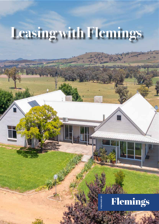# **Leasing with Flemings**

## Flemings

**PREPARED BY**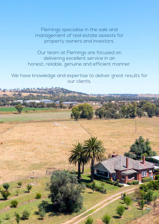Flemings specialise in the sale and management of real estate assests for property owners and investors.

Our team at Flemings are focused on delivering excellent service in an honest, reliable, genuine and efficient manner.

We have knowledge and expertise to deliver great results for our clients.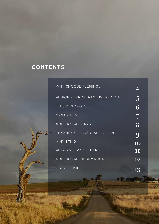### **CONTENTS**

| WHY CHOOSE FLEMINGS                   |          |
|---------------------------------------|----------|
| REGIONAL PROPERTY INVESTMENT          | 5        |
| <b>FEES &amp; CHARGES</b>             | <b>ĥ</b> |
| MANAGEMENT                            | 7        |
| <b>ADDITIONAL SERVICE</b>             | 8        |
| <b>TENANCY CHECKS &amp; SELECTION</b> | 9        |
| <b>MARKETING</b>                      | TO       |
| REPAIRS & MAINTENANCE                 | Ш        |
| <b>ADDITIONAL INFORMATION</b>         | T2       |
| CONCLUSION                            |          |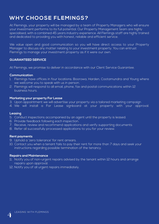### **WHY CHOOSE FLEMINGS?**

At Flemings, your property will be managed by a team of Property Managers who will ensure your investment performs to its full potential. Our Property Management team are highly specialised, with a combined 45 years industry experience. All Flemings staff are highly trained and dedicated to providing you with honest, reliable and efficient service.

We value open and good communication so you will have direct access to your Property Manager to discuss any matter relating to your investment property. You can entrust Flemings to manage your investment property as if it were our own.

#### **GUARANTEED SERVICE**

At Flemings, we promise to deliver in accordance with our Client Service Guarantee.

#### **Communication**

- 1. Flemings have offices in four locations: Boorowa, Harden, Cootamundra and Young where we welcome you to speak with us in person.
- 2. Flemings will respond to all email, phone, fax and postal communications within 12 business hours.

#### **Marketing your property For Lease**

- 3. Upon appointment we will advertise your property via a tailored marketing campaign
- 4. We will install a For Lease signboard at your property with your approval.

#### **Leasing**

- 5. Conduct inspections accompanied by an agent until the property is leased.
- 6. Provide feedback following each inspection.
- 7. Receive, review and recommend applications and verify supporting documents
- 8. Refer all successfully processed applications to you for your review.

#### **Rent payments**

- 9. Uphold a 'zero tolerance' for rent arrears.
- 10. Contact you when a tenant fails to pay their rent for more than 7 days and seek your instructions regarding possible termination of the tenancy.

#### **Repairs and Maintenance**

- 11. Notify you of non-urgent repairs advised by the tenant within 12 hours and arrange repairs upon approval.
- 12. Notify you of all urgent repairs immediately.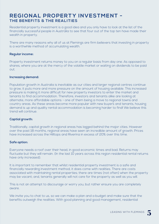### **REGIONAL PROPERTY INVESTMENT - THE BENEFITS & THE REALITIES**

Residential property investment is a good idea and you only have to look at the list of the financially successful people in Australia to see that four out of the top ten have made their wealth in property.

There are many reasons why all of us at Flemings are firm believers that investing in property is a worthwhile method of accumulating wealth.

#### **Regular income:**

Property investment returns money to you on a regular basis from day one. As opposed to shares, where you are at the mercy of the volatile market or waiting on dividends to be paid out.

#### **Increasing demand:**

Population growth in Australia is inevitable as our cities and larger regional centres continue to grow, it puts more and more pressure on the amount of housing available. This increased pressure is making it more difficult for new property investors to enter the market and tenants to find accommodation. Therefore, investors and tenants alike are looking at alternate, more affordable options - one of them being a move to regional towns and country areas. As these areas become more popular with new buyers and tenants, housing demand is up and quality rental accommodation is becoming harder to find! We believe this trend will continue.

#### **Captial growth:**

Traditionally, capital growth in regional areas has lagged behind the major cities. However over the past 18 months, regional areas have seen an incredible amount of growth. Prices have increased across the Hilltops and Riverina in excess of 20% over this time.

#### **Safe option:**

Everyone needs a roof over their head, in good economic times and bad. Returns may fluctuate but they will remain. (In the last 10 years across this region residential rental returns have only increased).

It is important to remember that whilst residential property investment is a safe and financially rewarding investment method, it does come with realities. There are costs associated with maintaining rental properties; there are times (not often) when the property may be vacant; and, tenants generally will not care for the property as well as you will.

This is not an attempt to discourage or worry you, but rather ensure you are completely aware.

We invite you to chat to us, so we can make a plan and a budget and make sure that the benefits outweigh the realities. With good planning and good management, residential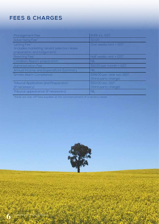### **FEES & CHARGES**

| Management Fee                                                                             | 8.8% inc. GST                                     |
|--------------------------------------------------------------------------------------------|---------------------------------------------------|
| Advertising Fee*                                                                           | \$0.00                                            |
| Letting Fee*<br>(includes marketing, tenant selection, lease<br>preparation and lodgement) | One weeks rent + GST                              |
| Reletting Fee*                                                                             | Half weeks rent + GST                             |
| <b>Condition Report preparation</b>                                                        | <b>NIL</b>                                        |
| <b>Administration Fee</b>                                                                  | \$10.00 per month + GST                           |
| Annual Income and Expenditure Summary                                                      | <b>NIL</b>                                        |
| <b>Smoke Alarm Compliance</b>                                                              | \$99.00 per year exc. GST<br>(third party charge) |
| <b>Tribunal Application and Preparation</b><br>(if necessary)                              | \$50.00 exc. GST<br>(third party charge)          |
| Tribunal appearance (if necessary)                                                         | <b>NIL</b>                                        |

\*these are one-off fees payable at the commencement of a tenancy lease

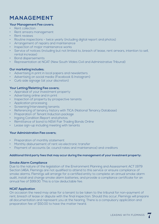### **MANAGEMENT**

#### **Your Management Fee covers;**

- Rent collection
- Rent arrears management
- Rent reviews
- Routine inspections twice yearly (including digital report and photos)
- Arrangement of repairs and maintenance
- Inspection of major maintenance works
- Service of notices (including but not limited to, breach of lease, rent arrears, intention to sell, rental increase)
- Bond dispersements
- Representation at NCAT (New South Wales Civil and Administrative Tribunal)

#### **Our marketing includes;**

- Advertising in print in local papers and newsletters
- Advertising on social media (Facebook & Instagram)
- Curb side signage (at your discretion)

#### **Your Letting/Reletting Fee covers;**

- Appraisal of your investment property
- Advertising online and in print
- Inspection of property by prospective tenants
- Application processing
- **Screening/interviewing tenants**
- Referencing of tenancy history with TICA (National Tenancy Database)
- Preparation of Tenant Induction package
- Ingoing Condition Report and photos
- Remittance of bond to NSW Fair Trading Bonds Online
- Lease sign-up including meeting with tenants

#### **Your Administration Fee covers;**

- Preparation of monthly statement
- Monthly disbursement of rent via electronic transfer
- Payment of accounts (ie. council rates and maintenance) and creditors

#### **Additional third party fees that may occur during the management of your investment property:**

#### **Smoke Alarm Compliance**

Due to the nature of the legislation of the Environment Planning and Assessment ACT 1979 Section 146A, Flemings are not qualified to attend to this service or ensure compliance of smoke alarms. Flemings will arrange for a certified entity to complete an annual smoke alarm audit, install and change smoke alarm batteries, and provide a compliance certificate for an annual fee of \$99.00. This is a tax deductable fee.

#### **NCAT Application**

On occasion the need may arise for a tenant to be taken to the tribunal for non-payment of rent, breach of lease or dispute with the final inspection. Should this occur, Flemings will prepare all documentation and represent you at the hearing. There is a compulsory application and preparation fee of \$50.00 to have the matter heard.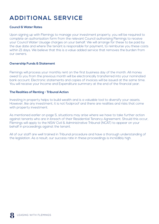### **ADDITIONAL SERVICE**

#### **Council & Water Rates**

Upon signing up with Flemings to manage your investment property, you will be required to complete an authorisation form from the relevant Council authorising Flemings to receive your Council Water Usuage charges on your behalf. We will arrange for these to be paid by the due date and where the tenant is responsible for payment, to reimburse you these costs within 21 days. We believe that this is a value added service that removes the burden from our owners.

#### **Ownership Funds & Statement**

Flemings will process your monthly rent on the first business day of the month. All money owed to you from the previous month will be electronically transferred into your nominated bank account. Electronic statements and copies of invoices will be issued at the same time. You will receive your Income and Expenditure summary at the end of the financial year.

#### **The Realities of Renting - Tribunal Action**

Investing in property helps to build wealth and is a valuable tool to diversify your assets. However, like any investment, it is not foolproof and there are realities and risks that come with property investment.

As mentioned earlier on page 5, situations may arise where we have to take further action against tenants who are in breach of their Residential Tenancy Agreement. Should this occur, Flemings will apply to the NSW Civil & Administrative Tribunal (NCAT) to appear on your behalf in proceedings against the tenant.

All of our staff are well trained in Tribunal procedure and have a thorough understanding of the legislation. As a result, our success rate in these proceedings is incredibly high.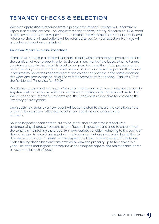### **TENANCY CHECKS & SELECTION**

When an application is received from a prospective tenant Flemings will undertake a vigorous screening process, including referencing tenancy history, a search on TICA, proof of employment or Centrelink payments, collection and verification of 100 points of ID and reference checks. All applications will be referred to you for your selection. Flemings will not select a tenant on your behalf.

#### **Condition Report & Routine Inspections**

Flemings will complete a detailed electronic report with accompanying photos to record the condition of your property prior to the commencment of the lease. When a tenant vacates a property this report is used to compare the condition of the property at the end of tenancy to that at the commencement. In accordance with legislation the tenant is required to "leave the residential premises as near as possible in the same condition, fair wear and tear excepted, as at the commencement of the tenancy" (clause 17.2 of the Residential Tenancies Act 2010).

We do not recommend leaving any furniture or white goods at your investment property. Any items left in the home must be maintained in working order or replaced like for like. Where goods are left for the tenants use, the Landlord is responsible for compiling the inventory of such goods.

Upon each new tenancy a new report will be completed to ensure the condition of the property is accurately reflected, including any additions or changes to the property.

Routine Inspections are carried out twice yearly and an electronic report with accompanying photos will be sent to you. Routine inspections are used to ensure that the tenant is maintaining the property in appropriate condition, adhering to the terms of their lease and to record any repairs or maintenance that are necessary. In addition to this, we will conduct a 6 weekly routine inspection at the commencement of the lease. Under the legislation landlords are entitled to view the property up to four times in a year. The additional inspections may be used to inspect repairs and maintenance or for a suspected breach of lease.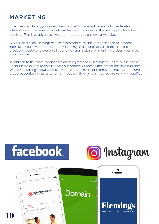### **MARKETING**

Effectively marketing your investment property online will generate higher levels of interest, widen the selection of eligible tenants and result in the best applications being received. Flemings advertise investment properties on several websites.

At your discretion, Flemings will use prominent curb side street signage to increase interest in your investment property. Flemings Sales and Rentals brochures are produced weekly and available in our office along with prominent advertisements in our front window.

In addition to the more traditional marketing methods, Flemings will utilise our in-house Social Media expert to ensure that your property reaches the largest possible audience. We have a strong following across various social media platforms and have often found that prospective clients or tenants introduced through this method are very well qualified.





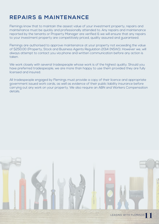### **REPAIRS & MAINTENANCE**

Flemings know that to maintain the assest value of your investment property, repairs and maintenance must be quickly and professionally attended to. Any repairs and maintenance reported by the tenants or Property Manager are verified & we will ensure that any repairs to your investment property are competitively priced, quality assured and guaranteed.

Flemings are authorised to approve maintenance at your property not exceeding the value of \$250.00 (Property, Stock and Business Agents Regulation 2014 (NSW)). However we, will always attempt to contact you via phone and written communication before any action is taken.

We work closely with several tradespeople whose work is of the highest quality. Should you have preferred tradespeople, we are more than happy to use them provided they are fully licensed and insured.

All tradespeople engaged by Flemings must provide a copy of their licence and appropriate government issued work cards, as well as evidence of their public liability insurance before carrying out any work on your property. We also require an ABN and Workers Compensation details.

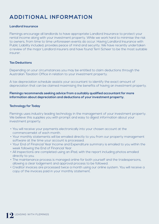### **ADDITIONAL INFORMATION**

#### **Landlord Insurance**

Flemings encourage all landlords to have appropriate Landlord Insurance to protect your rental income along with your investment property. While we work hard to minimise the risk to owners, from time to time unforeseen events do occur. Having Landlord Insurance with Public Liability included, provides peace of mind and security. We have recently undertaken a review of the major Landlord insurers and have found Terri Scheer to be the most suitable insurer.

#### **Tax Deductions**

Depending on your circumstances you may be entitled to claim deductions through the Australian Taxation Office in relation to your investment property.

A tax depreciation schedule assists your accountant to identify the exact amount of depreciation that can be claimed maximising the benefits of having an investment property.

#### **Flemings recommends seeking advice from a suitably qualified accountant for more information about depreciation and deductions of your investment property.**

#### **Technology for Today**

Flemings uses industry leading technology in the management of your investment property. We believe this supplies you with prompt and easy to digest information about your investment property.

- You will receive your payments electronically into your chosen account at the commencemebt of each month.
- Your monthly statements will be emailed directly to you from our property management software at the time your account is processed.
- Your End of Financial Year Income and Expenditure summary is emailed to you within the week following the End of Financial Year.
- All inspections are completed using an iPad, with the report including photos emailed directly to you.
- The maintenance process is managed online for both yourself and the tradespersons, allowing a clear lodgement and approval process to be followed.
- Creditor invoices are processed twice a month using our online system. You will receive a copy of the invoices paid in your monthly statement.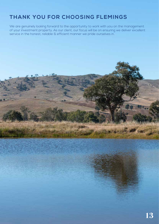### **THANK YOU FOR CHOOSING FLEMINGS**

We are genuinely looking forward to the opportunity to work with you on the management of your investment property. As our client, our focus will be on ensuring we deliver excellent service in the honest, reliable & efficient manner we pride ourselves in.